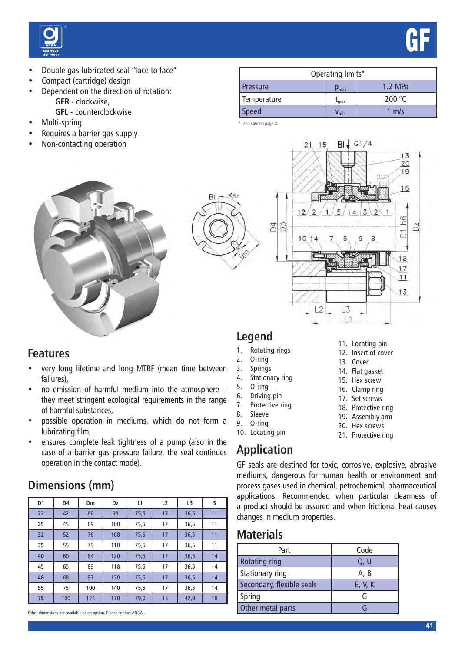

- Double gas-lubricated seal "face to face"
- Compact (cartridge) design
- Dependent on the direction of rotation: **GFR** - clockwise,
	- **GFL** counterclockwise
- Multi-spring
- Requires a barrier gas supply
- Non-contacting operation

| Operating limits*         |                                    |                 |  |  |  |
|---------------------------|------------------------------------|-----------------|--|--|--|
| <b>Pressure</b>           | $\mathsf{p}_{\text{max}}$          | 1.2 MPa         |  |  |  |
| Temperature               | $I_{\text{max}}$                   | 200 $\degree$ C |  |  |  |
| $\mathop{\mathsf{speed}}$ | $\bm{{\mathsf{v}}}_{\textsf{min}}$ | m/s             |  |  |  |

GF

\* - see note on page 3.

 $B1$ 



|                      | $Bl$ $\sqrt{G1/4}$<br>$21 \t15$<br>SHIF           | $\frac{13}{20}$<br>19 |
|----------------------|---------------------------------------------------|-----------------------|
|                      | WW<br>12<br>3<br>5                                | 16                    |
| D <sub>3</sub><br>34 | 2<br>$\overline{2}$<br>4<br>10, 14<br>6<br>8<br>9 | D1 h6<br>02           |
|                      |                                                   | 18<br>$\frac{17}{11}$ |
|                      | L <sub>2</sub><br>1.3                             | 13                    |

### **Features**

- very long lifetime and long MTBF (mean time between failures),
- no emission of harmful medium into the atmosphere they meet stringent ecological requirements in the range of harmful substances,
- possible operation in mediums, which do not form a lubricating film,
- ensures complete leak tightness of a pump (also in the case of a barrier gas pressure failure, the seal continues operation in the contact mode).

### **Dimensions (mm)**

| D <sub>1</sub> | D4  | Dm  | Dz  | L1   | L <sub>2</sub> | L3   | s  |
|----------------|-----|-----|-----|------|----------------|------|----|
| 22             | 42  | 66  | 98  | 75,5 | 17             | 36,5 | 11 |
| 25             | 45  | 69  | 100 | 75,5 | 17             | 36,5 | 11 |
| 32             | 52  | 76  | 108 | 75,5 | 17             | 36,5 | 11 |
| 35             | 55  | 79  | 110 | 75,5 | 17             | 36,5 | 11 |
| 40             | 60  | 84  | 120 | 75,5 | 17             | 36,5 | 14 |
| 45             | 65  | 89  | 118 | 75,5 | 17             | 36,5 | 14 |
| 48             | 68  | 93  | 130 | 75,5 | 17             | 36,5 | 14 |
| 55             | 75  | 100 | 140 | 75,5 | 17             | 36,5 | 14 |
| 75             | 100 | 124 | 170 | 79,0 | 15             | 42,0 | 18 |

Other dimensions are available as an option. Please contact ANGA.

### **Legend**

- 1. Rotating rings
- 2. O-ring
- 3. Springs
- 4. Stationary ring
- 5. O-ring
- 6. Driving pin
- 7. Protective ring
- 8. Sleeve
- 9. O-ring
- 10. Locating pin

# **Application**

13. Cover

11. Locating pin 12. Insert of cover

- 14. Flat gasket
- 15. Hex screw
- 16. Clamp ring
- 17. Set screws
- 18. Protective ring
- 19. Assembly arm
- 20. Hex screws
- 21. Protective ring

# GF seals are destined for toxic, corrosive, explosive, abrasive

mediums, dangerous for human health or environment and process gases used in chemical, petrochemical, pharmaceutical applications. Recommended when particular cleanness of a product should be assured and when frictional heat causes changes in medium properties.

#### **Materials**

| Part                      | Code    |  |  |
|---------------------------|---------|--|--|
| <b>Rotating ring</b>      | Q, U    |  |  |
| Stationary ring           | A, B    |  |  |
| Secondary, flexible seals | E, V, K |  |  |
| Spring                    | G       |  |  |
| Other metal parts         |         |  |  |